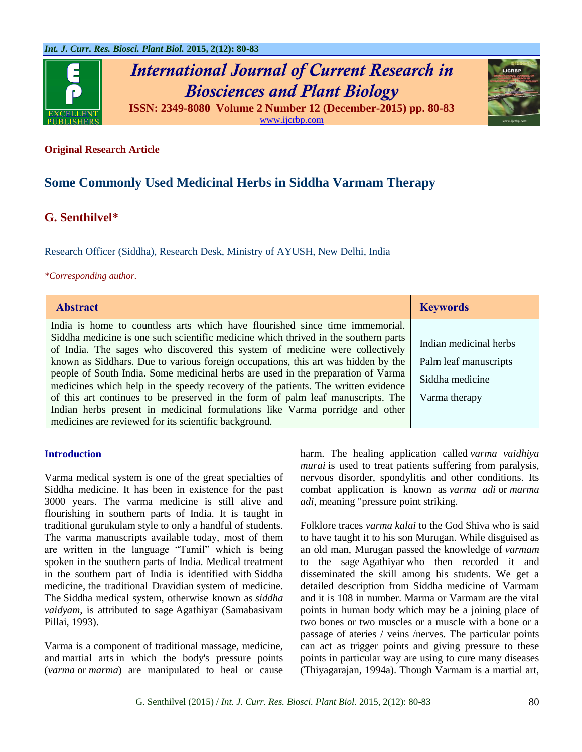

# *International Journal of Current Research in Biosciences and Plant Biology* **ISSN: 2349-8080 Volume 2 Number 12 (December-2015) pp. 80-83**



# **Original Research Article**

# **Some Commonly Used Medicinal Herbs in Siddha Varmam Therapy**

# **G. Senthilvel\***

Research Officer (Siddha), Research Desk, Ministry of AYUSH, New Delhi, India

#### *\*Corresponding author.*

| <b>Abstract</b>                                                                                                                                                       | <b>Keywords</b>        |
|-----------------------------------------------------------------------------------------------------------------------------------------------------------------------|------------------------|
| India is home to countless arts which have flourished since time immemorial.                                                                                          |                        |
| Siddha medicine is one such scientific medicine which thrived in the southern parts<br>of India. The sages who discovered this system of medicine were collectively   | Indian medicinal herbs |
| known as Siddhars. Due to various foreign occupations, this art was hidden by the                                                                                     | Palm leaf manuscripts  |
| people of South India. Some medicinal herbs are used in the preparation of Varma<br>medicines which help in the speedy recovery of the patients. The written evidence | Siddha medicine        |
| of this art continues to be preserved in the form of palm leaf manuscripts. The                                                                                       | Varma therapy          |
| Indian herbs present in medicinal formulations like Varma porridge and other                                                                                          |                        |
| medicines are reviewed for its scientific background.                                                                                                                 |                        |

#### **Introduction**

Varma medical system is one of the great specialties of Siddha medicine. It has been in existence for the past 3000 years. The varma medicine is still alive and flourishing in southern parts of India. It is taught in traditional gurukulam style to only a handful of students. The varma manuscripts available today, most of them are written in the language "Tamil" which is being spoken in the southern parts of India. Medical treatment in the southern part of India is identified with Siddha medicine, the traditional Dravidian system of medicine. The Siddha medical system, otherwise known as *siddha vaidyam*, is attributed to sage Agathiyar (Samabasivam Pillai, 1993).

Varma is a component of traditional massage, medicine, and martial arts in which the body's pressure points (*varma* or *marma*) are manipulated to heal or cause

harm. The healing application called *varma vaidhiya murai* is used to treat patients suffering from paralysis, nervous disorder, spondylitis and other conditions. Its combat application is known as *varma adi* or *marma adi*, meaning "pressure point striking.

Folklore traces *varma kalai* to the God Shiva who is said to have taught it to his son Murugan. While disguised as an old man, Murugan passed the knowledge of *varmam*  to the sage Agathiyar who then recorded it and disseminated the skill among his students. We get a detailed description from Siddha medicine of Varmam and it is 108 in number. Marma or Varmam are the vital points in human body which may be a joining place of two bones or two muscles or a muscle with a bone or a passage of ateries / veins /nerves. The particular points can act as trigger points and giving pressure to these points in particular way are using to cure many diseases (Thiyagarajan, 1994a). Though Varmam is a martial art,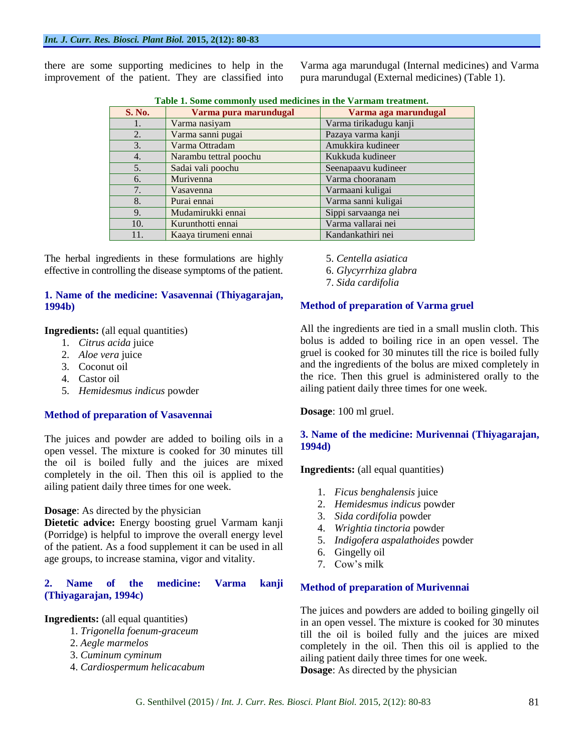there are some supporting medicines to help in the improvement of the patient. They are classified into Varma aga marundugal (Internal medicines) and Varma pura marundugal (External medicines) (Table 1).

| <b>S. No.</b> | Varma pura marundugal  | t word in control community words micriciated in the walkingin to cutting the<br>Varma aga marundugal |  |  |
|---------------|------------------------|-------------------------------------------------------------------------------------------------------|--|--|
| 1.            | Varma nasiyam          | Varma tirikadugu kanji                                                                                |  |  |
| 2.            | Varma sanni pugai      | Pazaya varma kanji                                                                                    |  |  |
| 3.            | Varma Ottradam         | Amukkira kudineer                                                                                     |  |  |
| 4.            | Narambu tettral poochu | Kukkuda kudineer                                                                                      |  |  |
| 5.            | Sadai vali poochu      | Seenapaavu kudineer                                                                                   |  |  |
| 6.            | Murivenna              | Varma chooranam                                                                                       |  |  |
| 7.            | Vasavenna              | Varmaani kuligai                                                                                      |  |  |
| 8.            | Purai ennai            | Varma sanni kuligai                                                                                   |  |  |
| 9.            | Mudamirukki ennai      | Sippi sarvaanga nei                                                                                   |  |  |
| 10.           | Kurunthotti ennai      | Varma vallarai nei                                                                                    |  |  |
| 11.           | Kaaya tirumeni ennai   | Kandankathiri nei                                                                                     |  |  |

**Table 1. Some commonly used medicines in the Varmam treatment.**

The herbal ingredients in these formulations are highly effective in controlling the disease symptoms of the patient.

# **1. Name of the medicine: Vasavennai (Thiyagarajan, 1994b)**

**Ingredients:** (all equal quantities)

- 1. *Citrus acida* juice
- 2. *Aloe vera* juice
- 3. Coconut oil
- 4. Castor oil
- 5. *Hemidesmus indicus* powder

## **Method of preparation of Vasavennai**

The juices and powder are added to boiling oils in a open vessel. The mixture is cooked for 30 minutes till the oil is boiled fully and the juices are mixed completely in the oil. Then this oil is applied to the ailing patient daily three times for one week.

## **Dosage**: As directed by the physician

**Dietetic advice:** Energy boosting gruel Varmam kanji (Porridge) is helpful to improve the overall energy level of the patient. As a food supplement it can be used in all age groups, to increase stamina, vigor and vitality.

## **2. Name of the medicine: Varma kanji (Thiyagarajan, 1994c)**

## **Ingredients:** (all equal quantities)

- 1. *Trigonella foenum-graceum*
- 2. *Aegle marmelos*
- 3. *Cuminum cyminum*
- 4. *Cardiospermum helicacabum*

5. *Centella asiatica*

6. *Glycyrrhiza glabra*

7. *Sida cardifolia*

# **Method of preparation of Varma gruel**

All the ingredients are tied in a small muslin cloth. This bolus is added to boiling rice in an open vessel. The gruel is cooked for 30 minutes till the rice is boiled fully and the ingredients of the bolus are mixed completely in the rice. Then this gruel is administered orally to the ailing patient daily three times for one week.

**Dosage**: 100 ml gruel.

## **3. Name of the medicine: Murivennai (Thiyagarajan, 1994d)**

**Ingredients:** (all equal quantities)

- 1. *Ficus benghalensis* juice
- 2. *Hemidesmus indicus* powder
- 3. *Sida cordifolia* powder
- 4. *Wrightia tinctoria* powder
- 5. *Indigofera aspalathoides* powder
- 6. Gingelly oil
- 7. Cow's milk

## **Method of preparation of Murivennai**

The juices and powders are added to boiling gingelly oil in an open vessel. The mixture is cooked for 30 minutes till the oil is boiled fully and the juices are mixed completely in the oil. Then this oil is applied to the ailing patient daily three times for one week. **Dosage**: As directed by the physician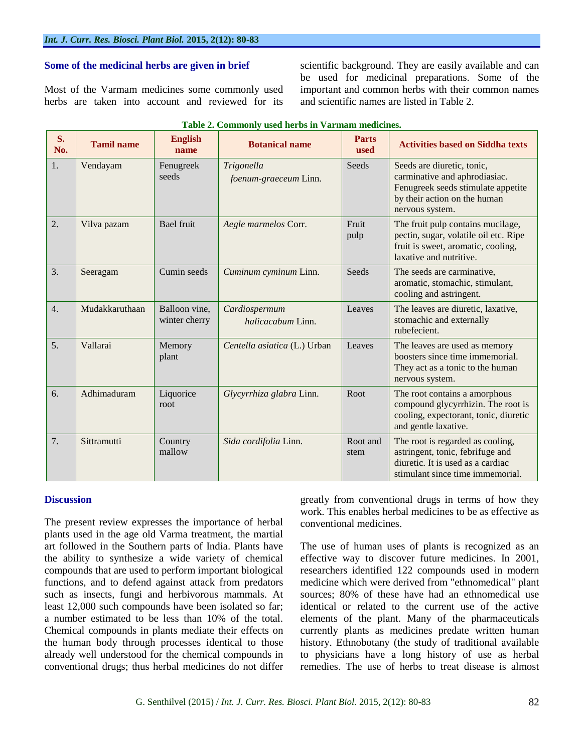#### **Some of the medicinal herbs are given in brief**

Most of the Varmam medicines some commonly used herbs are taken into account and reviewed for its scientific background. They are easily available and can be used for medicinal preparations. Some of the important and common herbs with their common names and scientific names are listed in Table 2.

| S.<br>No.        | <b>Tamil name</b> | <b>English</b><br>name         | <b>Botanical name</b>               | <b>Parts</b><br>used | <b>Activities based on Siddha texts</b>                                                                                                              |
|------------------|-------------------|--------------------------------|-------------------------------------|----------------------|------------------------------------------------------------------------------------------------------------------------------------------------------|
| 1.               | Vendayam          | Fenugreek<br>seeds             | Trigonella<br>foenum-graeceum Linn. | <b>Seeds</b>         | Seeds are diuretic, tonic,<br>carminative and aphrodiasiac.<br>Fenugreek seeds stimulate appetite<br>by their action on the human<br>nervous system. |
| $\overline{2}$ . | Vilva pazam       | <b>Bael fruit</b>              | Aegle marmelos Corr.                | Fruit<br>pulp        | The fruit pulp contains mucilage,<br>pectin, sugar, volatile oil etc. Ripe<br>fruit is sweet, aromatic, cooling,<br>laxative and nutritive.          |
| $\overline{3}$ . | Seeragam          | Cumin seeds                    | Cuminum cyminum Linn.               | Seeds                | The seeds are carminative,<br>aromatic, stomachic, stimulant,<br>cooling and astringent.                                                             |
| 4.               | Mudakkaruthaan    | Balloon vine,<br>winter cherry | Cardiospermum<br>halicacabum Linn.  | Leaves               | The leaves are diuretic, laxative,<br>stomachic and externally<br>rubefecient.                                                                       |
| 5.               | Vallarai          | Memory<br>plant                | Centella asiatica (L.) Urban        | Leaves               | The leaves are used as memory<br>boosters since time immemorial.<br>They act as a tonic to the human<br>nervous system.                              |
| 6.               | Adhimaduram       | Liquorice<br>root              | Glycyrrhiza glabra Linn.            | Root                 | The root contains a amorphous<br>compound glycyrrhizin. The root is<br>cooling, expectorant, tonic, diuretic<br>and gentle laxative.                 |
| 7.               | Sittramutti       | Country<br>mallow              | Sida cordifolia Linn.               | Root and<br>stem     | The root is regarded as cooling,<br>astringent, tonic, febrifuge and<br>diuretic. It is used as a cardiac<br>stimulant since time immemorial.        |

**Table 2. Commonly used herbs in Varmam medicines.**

#### **Discussion**

The present review expresses the importance of herbal plants used in the age old Varma treatment, the martial art followed in the Southern parts of India. Plants have the ability to synthesize a wide variety of chemical compounds that are used to perform important biological functions, and to defend against attack from predators such as insects, fungi and herbivorous mammals. At least 12,000 such compounds have been isolated so far; a number estimated to be less than 10% of the total. Chemical compounds in plants mediate their effects on the human body through processes identical to those already well understood for the chemical compounds in conventional drugs; thus herbal medicines do not differ greatly from conventional drugs in terms of how they work. This enables herbal medicines to be as effective as conventional medicines.

The use of human uses of plants is recognized as an effective way to discover future medicines. In 2001, researchers identified 122 compounds used in modern medicine which were derived from "ethnomedical" plant sources; 80% of these have had an ethnomedical use identical or related to the current use of the active elements of the plant. Many of the pharmaceuticals currently plants as medicines predate written human history. Ethnobotany (the study of traditional available to physicians have a long history of use as herbal remedies. The use of herbs to treat disease is almost